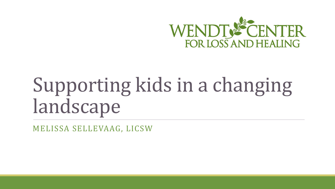

## Supporting kids in a changing landscape

MELISSA SELLEVAAG, LICSW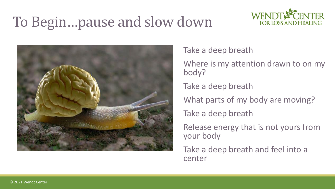#### To Begin…pause and slow down





Take a deep breath

Where is my attention drawn to on my body?

Take a deep breath

What parts of my body are moving?

Take a deep breath

Release energy that is not yours from your body

Take a deep breath and feel into a center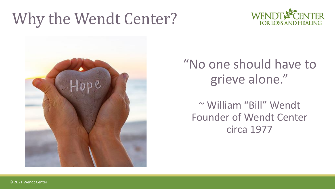#### Why the Wendt Center?





#### "No one should have to grieve alone."

~ William "Bill" Wendt Founder of Wendt Center circa 1977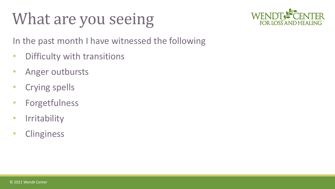### What are you seeing



In the past month I have witnessed the following

- Difficulty with transitions
- Anger outbursts
- Crying spells
- Forgetfulness
- Irritability
- Clinginess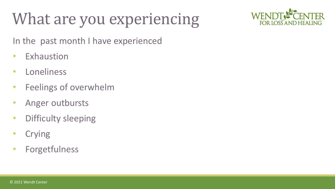## What are you experiencing



In the past month I have experienced

- Exhaustion
- Loneliness
- Feelings of overwhelm
- Anger outbursts
- Difficulty sleeping
- Crying
- Forgetfulness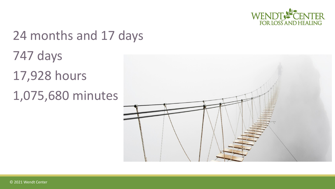

# 24 months and 17 days 747 days 17,928 hours 1,075,680 minutes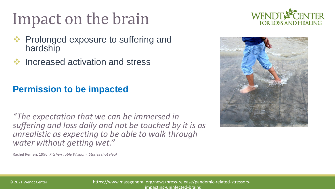## Impact on the brain

- Prolonged exposure to suffering and hardship
- ❖ Increased activation and stress

#### **Permission to be impacted**

*"The expectation that we can be immersed in suffering and loss daily and not be touched by it is as unrealistic as expecting to be able to walk through water without getting wet."*

Rachel Remen, 1996 *Kitchen Table Wisdom: Stories that Heal*



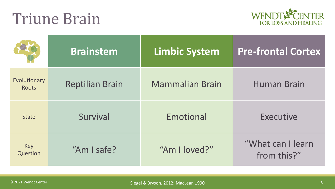#### Triune Brain



|                              | <b>Brainstem</b>       | <b>Limbic System</b>   | <b>Pre-frontal Cortex</b>        |
|------------------------------|------------------------|------------------------|----------------------------------|
| Evolutionary<br><b>Roots</b> | <b>Reptilian Brain</b> | <b>Mammalian Brain</b> | <b>Human Brain</b>               |
| <b>State</b>                 | Survival               | Emotional              | <b>Executive</b>                 |
| <b>Key</b><br>Question       | "Am I safe?            | "Am I loved?"          | "What can I learn<br>from this?" |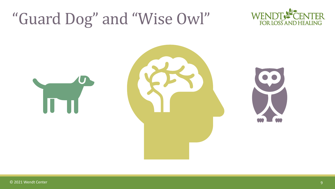#### "Guard Dog" and "Wise Owl"





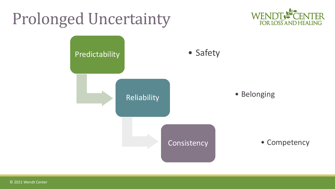## Prolonged Uncertainty



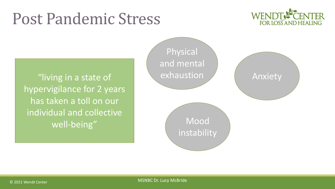#### Post Pandemic Stress



"living in a state of hypervigilance for 2 years has taken a toll on our individual and collective well-being"

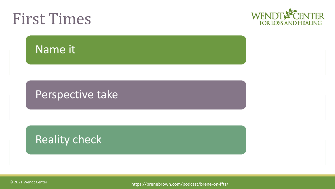

© 2021 Wendt Center

https://brenebrown.com/podcast/brene-on-ffts/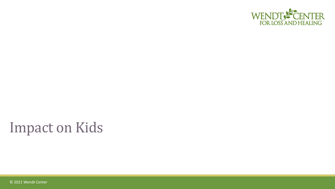

#### Impact on Kids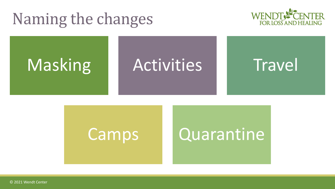#### Naming the changes





#### Camps Quarantine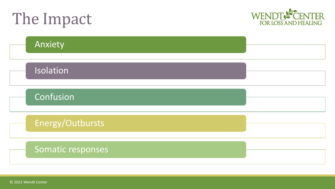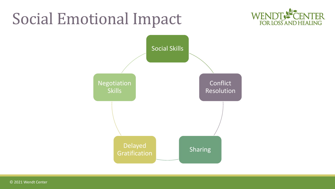#### Social Emotional Impact



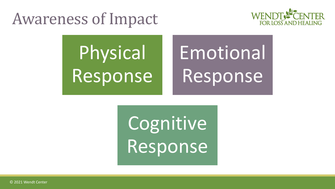#### Awareness of Impact



# Physical Response

# Emotional Response

Cognitive Response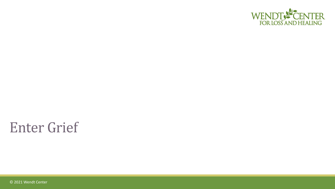

#### Enter Grief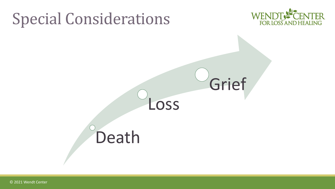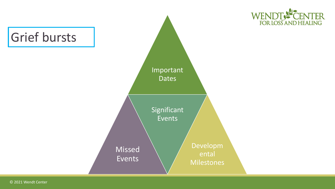

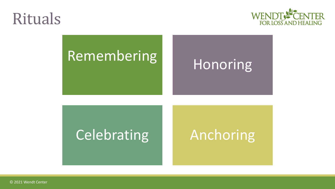#### Rituals



# Remembering Honoring

#### Celebrating Anchoring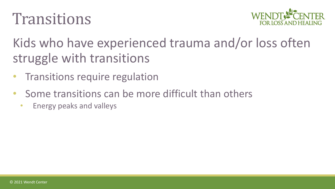#### **Transitions**



Kids who have experienced trauma and/or loss often struggle with transitions

- **Transitions require regulation**
- Some transitions can be more difficult than others
	- Energy peaks and valleys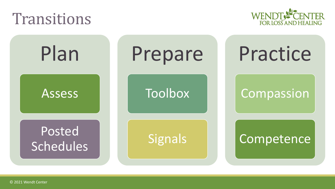#### Transitions



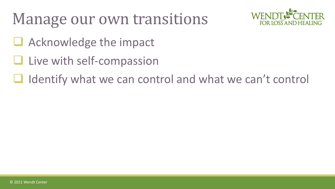### Manage our own transitions



- Acknowledge the impact
- Live with self-compassion
- Identify what we can control and what we can't control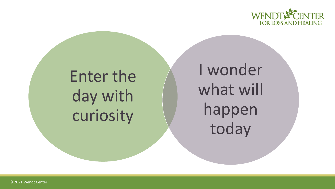

## Enter the day with curiosity

I wonder what will happen today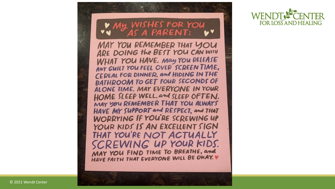#### MY WISHES FOR YOU AS A PARENT:

MAY YOU REMEMBER THAT YOU ARE DOING the BEST YOU CAN WITH WHAT YOU HAVE. May YOU RELEASE ANY GUILT YOU FEEL OVER SCREEN TIME, CEREAL FOR DINNER, and HIDING IN THE **BATHROOM TO GET FOUR SECONDS OF** ALONE TIME. MAY EVERYONE IN YOUR HOME SLEEP WELL, and SLEEP OFTEN. MAY YOU REMEMBER THAT YOU ALWAYS HAVE MY SUPPORT and RESPECT, and THAT WORRYING IF YOU'RE SCREWING UP YOUR KIDS IS AN EXCELLENT SIGN THAT YOU'RE NOT ACTUALLY SCREWING UP YOUR KIDS. MAY YOU FIND TIME TO BREATHE, and HAVE FAITH THAT EVERYONE WILL BE OKAY. V